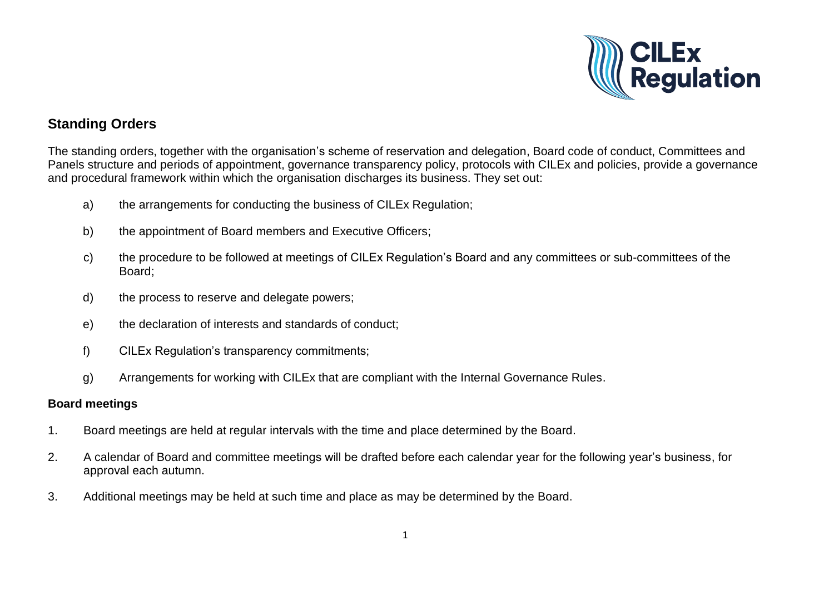

# **Standing Orders**

The standing orders, together with the organisation's scheme of reservation and delegation, Board code of conduct, Committees and Panels structure and periods of appointment, governance transparency policy, protocols with CILEx and policies, provide a governance and procedural framework within which the organisation discharges its business. They set out:

- a) the arrangements for conducting the business of CILEx Regulation;
- b) the appointment of Board members and Executive Officers;
- c) the procedure to be followed at meetings of CILEx Regulation's Board and any committees or sub-committees of the Board;
- d) the process to reserve and delegate powers;
- e) the declaration of interests and standards of conduct;
- f) CILEx Regulation's transparency commitments;
- g) Arrangements for working with CILEx that are compliant with the Internal Governance Rules.

### **Board meetings**

- 1. Board meetings are held at regular intervals with the time and place determined by the Board.
- 2. A calendar of Board and committee meetings will be drafted before each calendar year for the following year's business, for approval each autumn.
- 3. Additional meetings may be held at such time and place as may be determined by the Board.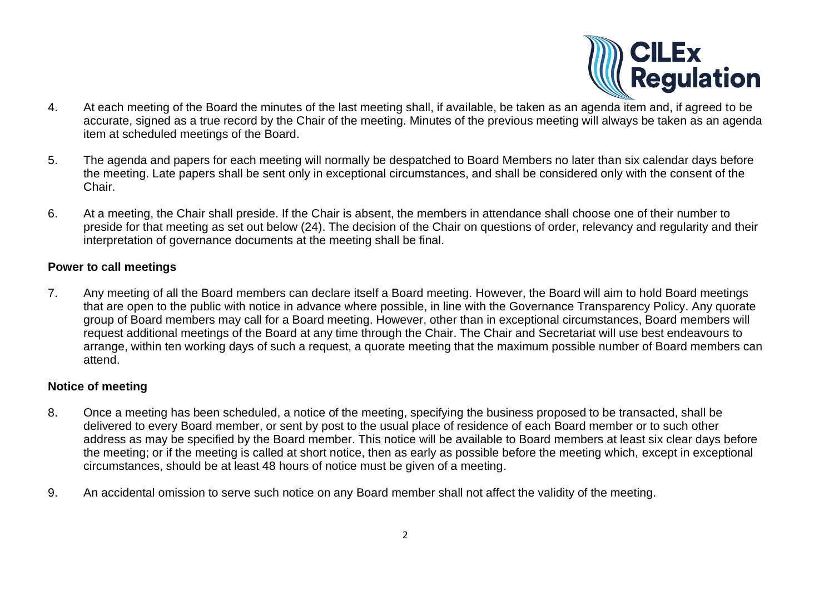

- $4.$ At each meeting of the Board the minutes of the last meeting shall, if available, be taken as an agenda item and, if agreed to be accurate, signed as a true record by the Chair of the meeting. Minutes of the previous meeting will always be taken as an agenda item at scheduled meetings of the Board.
- 5. The agenda and papers for each meeting will normally be despatched to Board Members no later than six calendar days before the meeting. Late papers shall be sent only in exceptional circumstances, and shall be considered only with the consent of the Chair.
- 6. At a meeting, the Chair shall preside. If the Chair is absent, the members in attendance shall choose one of their number to preside for that meeting as set out below (24). The decision of the Chair on questions of order, relevancy and regularity and their interpretation of governance documents at the meeting shall be final.

### **Power to call meetings**

7. Any meeting of all the Board members can declare itself a Board meeting. However, the Board will aim to hold Board meetings that are open to the public with notice in advance where possible, in line with the Governance Transparency Policy. Any quorate group of Board members may call for a Board meeting. However, other than in exceptional circumstances, Board members will request additional meetings of the Board at any time through the Chair. The Chair and Secretariat will use best endeavours to arrange, within ten working days of such a request, a quorate meeting that the maximum possible number of Board members can attend.

# **Notice of meeting**

- 8. Once a meeting has been scheduled, a notice of the meeting, specifying the business proposed to be transacted, shall be delivered to every Board member, or sent by post to the usual place of residence of each Board member or to such other address as may be specified by the Board member. This notice will be available to Board members at least six clear days before the meeting; or if the meeting is called at short notice, then as early as possible before the meeting which, except in exceptional circumstances, should be at least 48 hours of notice must be given of a meeting.
- 9. An accidental omission to serve such notice on any Board member shall not affect the validity of the meeting.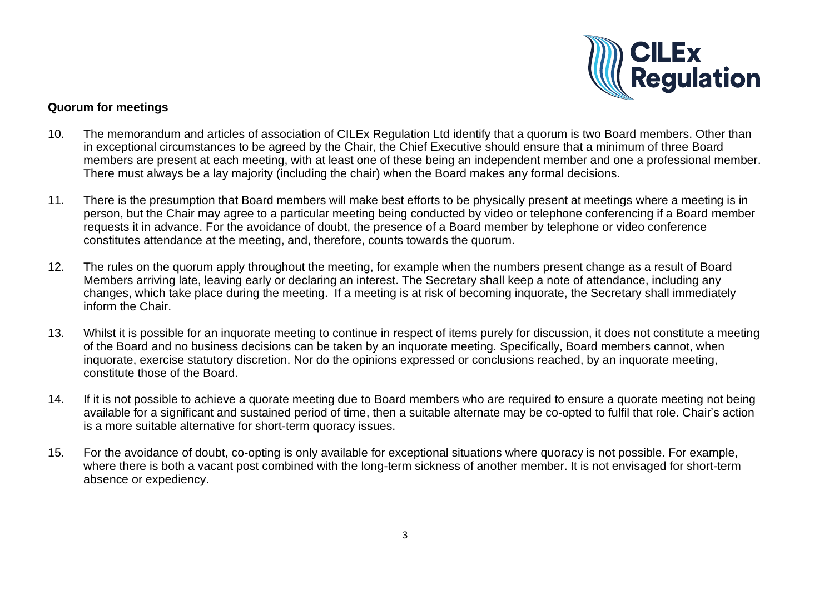

### **Quorum for meetings**

- 10. The memorandum and articles of association of CILEx Regulation Ltd identify that a quorum is two Board members. Other than in exceptional circumstances to be agreed by the Chair, the Chief Executive should ensure that a minimum of three Board members are present at each meeting, with at least one of these being an independent member and one a professional member. There must always be a lay majority (including the chair) when the Board makes any formal decisions.
- 11. There is the presumption that Board members will make best efforts to be physically present at meetings where a meeting is in person, but the Chair may agree to a particular meeting being conducted by video or telephone conferencing if a Board member requests it in advance. For the avoidance of doubt, the presence of a Board member by telephone or video conference constitutes attendance at the meeting, and, therefore, counts towards the quorum.
- 12. The rules on the quorum apply throughout the meeting, for example when the numbers present change as a result of Board Members arriving late, leaving early or declaring an interest. The Secretary shall keep a note of attendance, including any changes, which take place during the meeting. If a meeting is at risk of becoming inquorate, the Secretary shall immediately inform the Chair.
- 13. Whilst it is possible for an inquorate meeting to continue in respect of items purely for discussion, it does not constitute a meeting of the Board and no business decisions can be taken by an inquorate meeting. Specifically, Board members cannot, when inquorate, exercise statutory discretion. Nor do the opinions expressed or conclusions reached, by an inquorate meeting, constitute those of the Board.
- 14. If it is not possible to achieve a quorate meeting due to Board members who are required to ensure a quorate meeting not being available for a significant and sustained period of time, then a suitable alternate may be co-opted to fulfil that role. Chair's action is a more suitable alternative for short-term quoracy issues.
- 15. For the avoidance of doubt, co-opting is only available for exceptional situations where quoracy is not possible. For example, where there is both a vacant post combined with the long-term sickness of another member. It is not envisaged for short-term absence or expediency.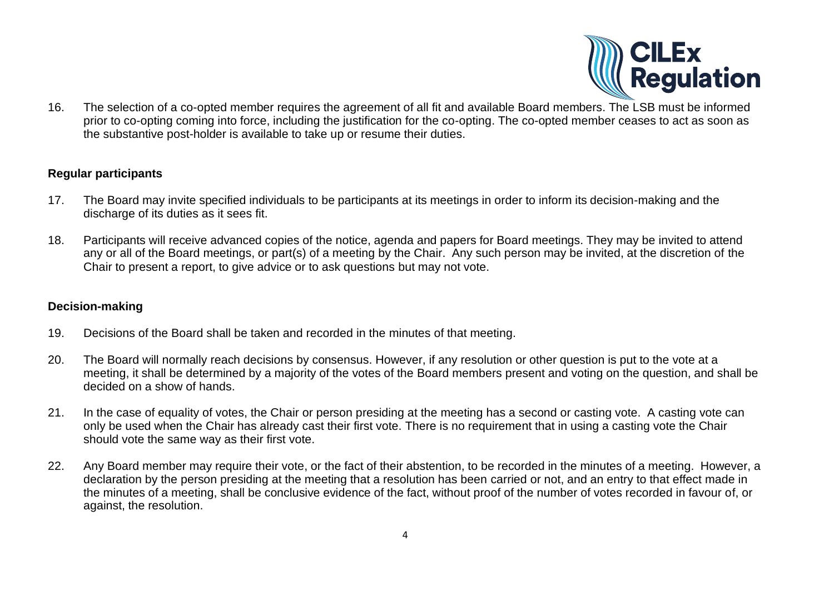

16. The selection of a co-opted member requires the agreement of all fit and available Board members. The LSB must be informed prior to co-opting coming into force, including the justification for the co-opting. The co-opted member ceases to act as soon as the substantive post-holder is available to take up or resume their duties.

### **Regular participants**

- 17. The Board may invite specified individuals to be participants at its meetings in order to inform its decision-making and the discharge of its duties as it sees fit.
- 18. Participants will receive advanced copies of the notice, agenda and papers for Board meetings. They may be invited to attend any or all of the Board meetings, or part(s) of a meeting by the Chair. Any such person may be invited, at the discretion of the Chair to present a report, to give advice or to ask questions but may not vote.

### **Decision-making**

- 19. Decisions of the Board shall be taken and recorded in the minutes of that meeting.
- 20. The Board will normally reach decisions by consensus. However, if any resolution or other question is put to the vote at a meeting, it shall be determined by a majority of the votes of the Board members present and voting on the question, and shall be decided on a show of hands.
- 21. In the case of equality of votes, the Chair or person presiding at the meeting has a second or casting vote. A casting vote can only be used when the Chair has already cast their first vote. There is no requirement that in using a casting vote the Chair should vote the same way as their first vote.
- 22. Any Board member may require their vote, or the fact of their abstention, to be recorded in the minutes of a meeting. However, a declaration by the person presiding at the meeting that a resolution has been carried or not, and an entry to that effect made in the minutes of a meeting, shall be conclusive evidence of the fact, without proof of the number of votes recorded in favour of, or against, the resolution.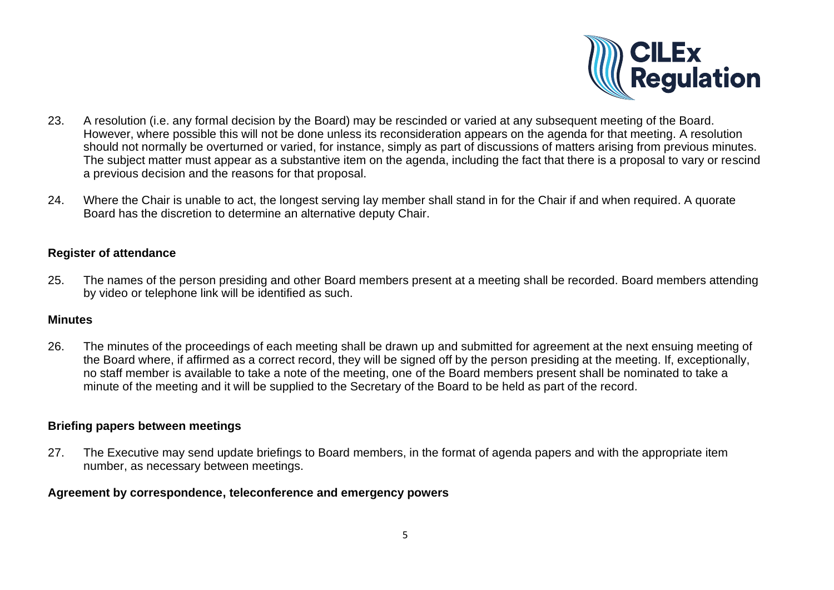

- 23. A resolution (i.e. any formal decision by the Board) may be rescinded or varied at any subsequent meeting of the Board. However, where possible this will not be done unless its reconsideration appears on the agenda for that meeting. A resolution should not normally be overturned or varied, for instance, simply as part of discussions of matters arising from previous minutes. The subject matter must appear as a substantive item on the agenda, including the fact that there is a proposal to vary or rescind a previous decision and the reasons for that proposal.
- 24. Where the Chair is unable to act, the longest serving lay member shall stand in for the Chair if and when required. A quorate Board has the discretion to determine an alternative deputy Chair.

### **Register of attendance**

25. The names of the person presiding and other Board members present at a meeting shall be recorded. Board members attending by video or telephone link will be identified as such.

#### **Minutes**

26. The minutes of the proceedings of each meeting shall be drawn up and submitted for agreement at the next ensuing meeting of the Board where, if affirmed as a correct record, they will be signed off by the person presiding at the meeting. If, exceptionally, no staff member is available to take a note of the meeting, one of the Board members present shall be nominated to take a minute of the meeting and it will be supplied to the Secretary of the Board to be held as part of the record.

#### **Briefing papers between meetings**

27. The Executive may send update briefings to Board members, in the format of agenda papers and with the appropriate item number, as necessary between meetings.

#### **Agreement by correspondence, teleconference and emergency powers**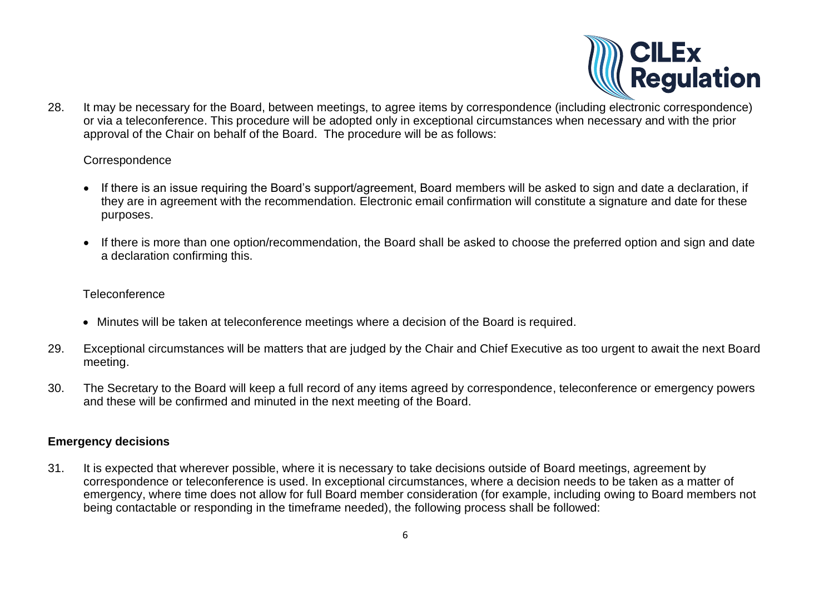

28. It may be necessary for the Board, between meetings, to agree items by correspondence (including electronic correspondence) or via a teleconference. This procedure will be adopted only in exceptional circumstances when necessary and with the prior approval of the Chair on behalf of the Board. The procedure will be as follows:

### **Correspondence**

- If there is an issue requiring the Board's support/agreement, Board members will be asked to sign and date a declaration, if they are in agreement with the recommendation. Electronic email confirmation will constitute a signature and date for these purposes.
- If there is more than one option/recommendation, the Board shall be asked to choose the preferred option and sign and date a declaration confirming this.

### **Teleconference**

- Minutes will be taken at teleconference meetings where a decision of the Board is required.
- 29. Exceptional circumstances will be matters that are judged by the Chair and Chief Executive as too urgent to await the next Board meeting.
- 30. The Secretary to the Board will keep a full record of any items agreed by correspondence, teleconference or emergency powers and these will be confirmed and minuted in the next meeting of the Board.

# **Emergency decisions**

31. It is expected that wherever possible, where it is necessary to take decisions outside of Board meetings, agreement by correspondence or teleconference is used. In exceptional circumstances, where a decision needs to be taken as a matter of emergency, where time does not allow for full Board member consideration (for example, including owing to Board members not being contactable or responding in the timeframe needed), the following process shall be followed: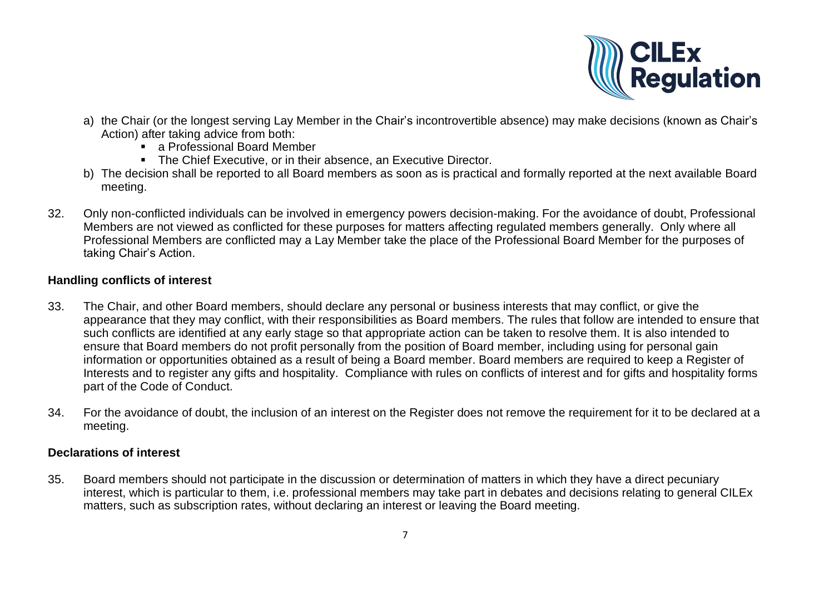

- a) the Chair (or the longest serving Lay Member in the Chair's incontrovertible absence) may make decisions (known as Chair's Action) after taking advice from both:
	- a Professional Board Member
	- The Chief Executive, or in their absence, an Executive Director.
- b) The decision shall be reported to all Board members as soon as is practical and formally reported at the next available Board meeting.
- 32. Only non-conflicted individuals can be involved in emergency powers decision-making. For the avoidance of doubt, Professional Members are not viewed as conflicted for these purposes for matters affecting regulated members generally. Only where all Professional Members are conflicted may a Lay Member take the place of the Professional Board Member for the purposes of taking Chair's Action.

# **Handling conflicts of interest**

- 33. The Chair, and other Board members, should declare any personal or business interests that may conflict, or give the appearance that they may conflict, with their responsibilities as Board members. The rules that follow are intended to ensure that such conflicts are identified at any early stage so that appropriate action can be taken to resolve them. It is also intended to ensure that Board members do not profit personally from the position of Board member, including using for personal gain information or opportunities obtained as a result of being a Board member. Board members are required to keep a Register of Interests and to register any gifts and hospitality. Compliance with rules on conflicts of interest and for gifts and hospitality forms part of the Code of Conduct.
- 34. For the avoidance of doubt, the inclusion of an interest on the Register does not remove the requirement for it to be declared at a meeting.

# **Declarations of interest**

35. Board members should not participate in the discussion or determination of matters in which they have a direct pecuniary interest, which is particular to them, i.e. professional members may take part in debates and decisions relating to general CILEx matters, such as subscription rates, without declaring an interest or leaving the Board meeting.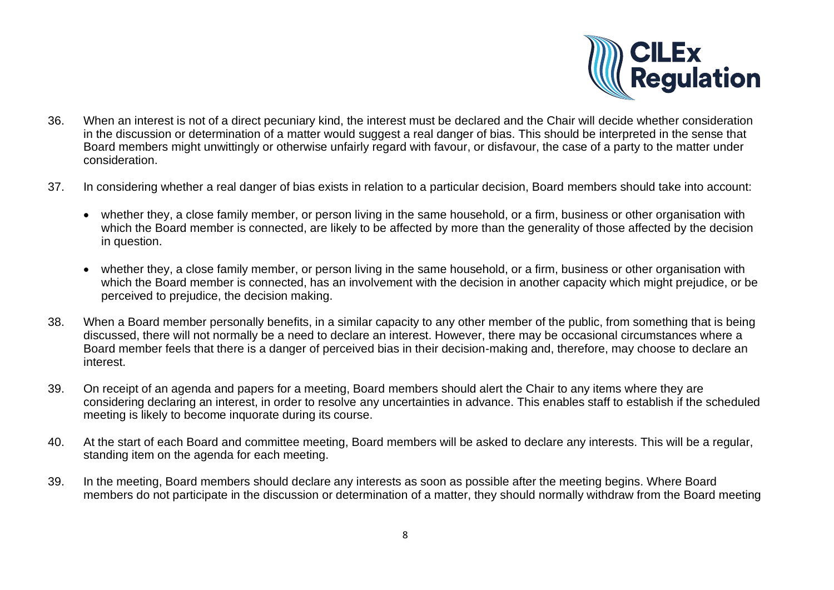

- 36. When an interest is not of a direct pecuniary kind, the interest must be declared and the Chair will decide whether consideration in the discussion or determination of a matter would suggest a real danger of bias. This should be interpreted in the sense that Board members might unwittingly or otherwise unfairly regard with favour, or disfavour, the case of a party to the matter under consideration.
- 37. In considering whether a real danger of bias exists in relation to a particular decision, Board members should take into account:
	- whether they, a close family member, or person living in the same household, or a firm, business or other organisation with which the Board member is connected, are likely to be affected by more than the generality of those affected by the decision in question.
	- whether they, a close family member, or person living in the same household, or a firm, business or other organisation with which the Board member is connected, has an involvement with the decision in another capacity which might prejudice, or be perceived to prejudice, the decision making.
- 38. When a Board member personally benefits, in a similar capacity to any other member of the public, from something that is being discussed, there will not normally be a need to declare an interest. However, there may be occasional circumstances where a Board member feels that there is a danger of perceived bias in their decision-making and, therefore, may choose to declare an interest.
- 39. On receipt of an agenda and papers for a meeting, Board members should alert the Chair to any items where they are considering declaring an interest, in order to resolve any uncertainties in advance. This enables staff to establish if the scheduled meeting is likely to become inquorate during its course.
- 40. At the start of each Board and committee meeting, Board members will be asked to declare any interests. This will be a regular, standing item on the agenda for each meeting.
- 39. In the meeting, Board members should declare any interests as soon as possible after the meeting begins. Where Board members do not participate in the discussion or determination of a matter, they should normally withdraw from the Board meeting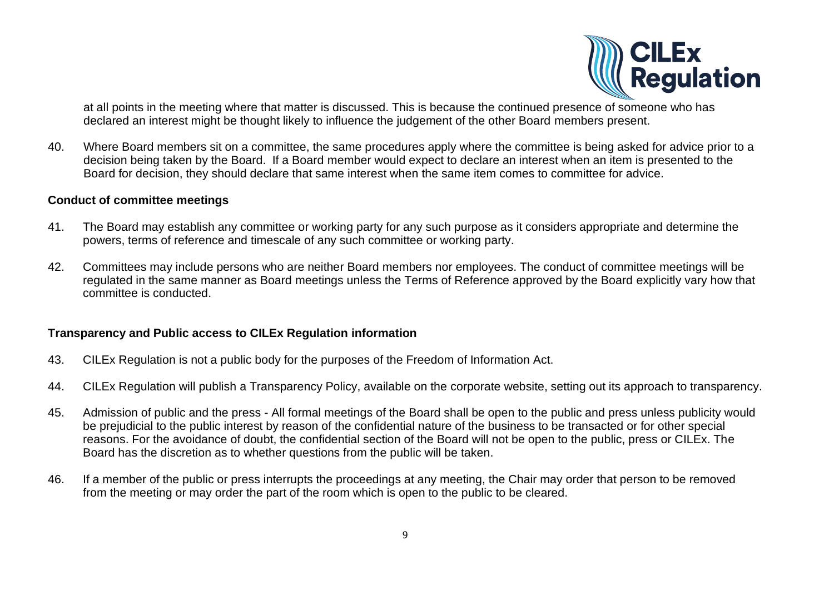

at all points in the meeting where that matter is discussed. This is because the continued presence of someone who has declared an interest might be thought likely to influence the judgement of the other Board members present.

40. Where Board members sit on a committee, the same procedures apply where the committee is being asked for advice prior to a decision being taken by the Board. If a Board member would expect to declare an interest when an item is presented to the Board for decision, they should declare that same interest when the same item comes to committee for advice.

### **Conduct of committee meetings**

- 41. The Board may establish any committee or working party for any such purpose as it considers appropriate and determine the powers, terms of reference and timescale of any such committee or working party.
- 42. Committees may include persons who are neither Board members nor employees. The conduct of committee meetings will be regulated in the same manner as Board meetings unless the Terms of Reference approved by the Board explicitly vary how that committee is conducted.

### **Transparency and Public access to CILEx Regulation information**

- 43. CILEx Regulation is not a public body for the purposes of the Freedom of Information Act.
- 44. CILEx Regulation will publish a Transparency Policy, available on the corporate website, setting out its approach to transparency.
- 45. Admission of public and the press All formal meetings of the Board shall be open to the public and press unless publicity would be prejudicial to the public interest by reason of the confidential nature of the business to be transacted or for other special reasons. For the avoidance of doubt, the confidential section of the Board will not be open to the public, press or CILEx. The Board has the discretion as to whether questions from the public will be taken.
- 46. If a member of the public or press interrupts the proceedings at any meeting, the Chair may order that person to be removed from the meeting or may order the part of the room which is open to the public to be cleared.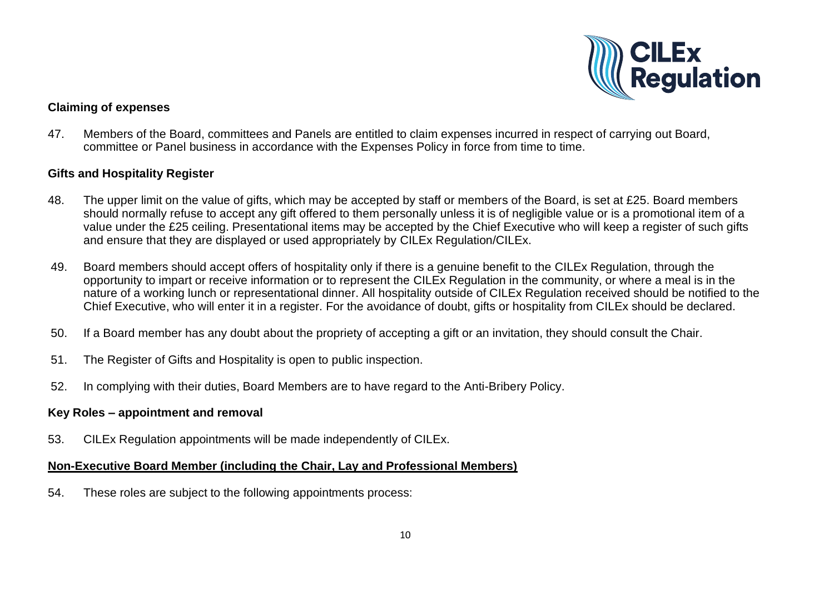

# **Claiming of expenses**

47. Members of the Board, committees and Panels are entitled to claim expenses incurred in respect of carrying out Board, committee or Panel business in accordance with the Expenses Policy in force from time to time.

### **Gifts and Hospitality Register**

- 48. The upper limit on the value of gifts, which may be accepted by staff or members of the Board, is set at £25. Board members should normally refuse to accept any gift offered to them personally unless it is of negligible value or is a promotional item of a value under the £25 ceiling. Presentational items may be accepted by the Chief Executive who will keep a register of such gifts and ensure that they are displayed or used appropriately by CILEx Regulation/CILEx.
- 49. Board members should accept offers of hospitality only if there is a genuine benefit to the CILEx Regulation, through the opportunity to impart or receive information or to represent the CILEx Regulation in the community, or where a meal is in the nature of a working lunch or representational dinner. All hospitality outside of CILEx Regulation received should be notified to the Chief Executive, who will enter it in a register. For the avoidance of doubt, gifts or hospitality from CILEx should be declared.
- 50. If a Board member has any doubt about the propriety of accepting a gift or an invitation, they should consult the Chair.
- 51. The Register of Gifts and Hospitality is open to public inspection.
- 52. In complying with their duties, Board Members are to have regard to the Anti-Bribery Policy.

### **Key Roles – appointment and removal**

53. CILEx Regulation appointments will be made independently of CILEx.

### **Non-Executive Board Member (including the Chair, Lay and Professional Members)**

54. These roles are subject to the following appointments process: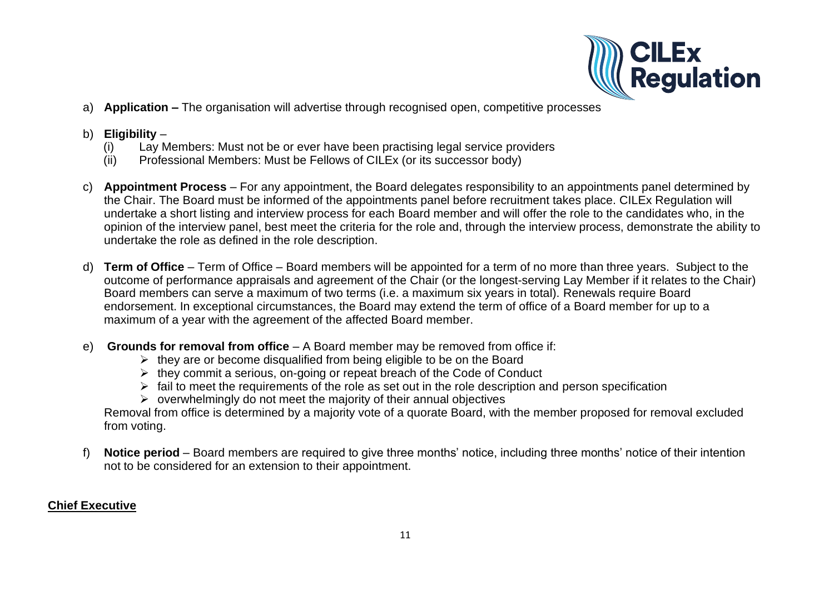

a) **Application –** The organisation will advertise through recognised open, competitive processes

# b) **Eligibility** –

- (i) Lay Members: Must not be or ever have been practising legal service providers
- (ii) Professional Members: Must be Fellows of CILEx (or its successor body)
- c) **Appointment Process** For any appointment, the Board delegates responsibility to an appointments panel determined by the Chair. The Board must be informed of the appointments panel before recruitment takes place. CILEx Regulation will undertake a short listing and interview process for each Board member and will offer the role to the candidates who, in the opinion of the interview panel, best meet the criteria for the role and, through the interview process, demonstrate the ability to undertake the role as defined in the role description.
- d) **Term of Office** Term of Office Board members will be appointed for a term of no more than three years. Subject to the outcome of performance appraisals and agreement of the Chair (or the longest-serving Lay Member if it relates to the Chair) Board members can serve a maximum of two terms (i.e. a maximum six years in total). Renewals require Board endorsement. In exceptional circumstances, the Board may extend the term of office of a Board member for up to a maximum of a year with the agreement of the affected Board member.
- e) **Grounds for removal from office** A Board member may be removed from office if:
	- $\triangleright$  they are or become disqualified from being eligible to be on the Board
	- $\triangleright$  they commit a serious, on-going or repeat breach of the Code of Conduct
	- $\triangleright$  fail to meet the requirements of the role as set out in the role description and person specification
	- $\triangleright$  overwhelmingly do not meet the majority of their annual objectives

Removal from office is determined by a majority vote of a quorate Board, with the member proposed for removal excluded from voting.

f) **Notice period** – Board members are required to give three months' notice, including three months' notice of their intention not to be considered for an extension to their appointment.

# **Chief Executive**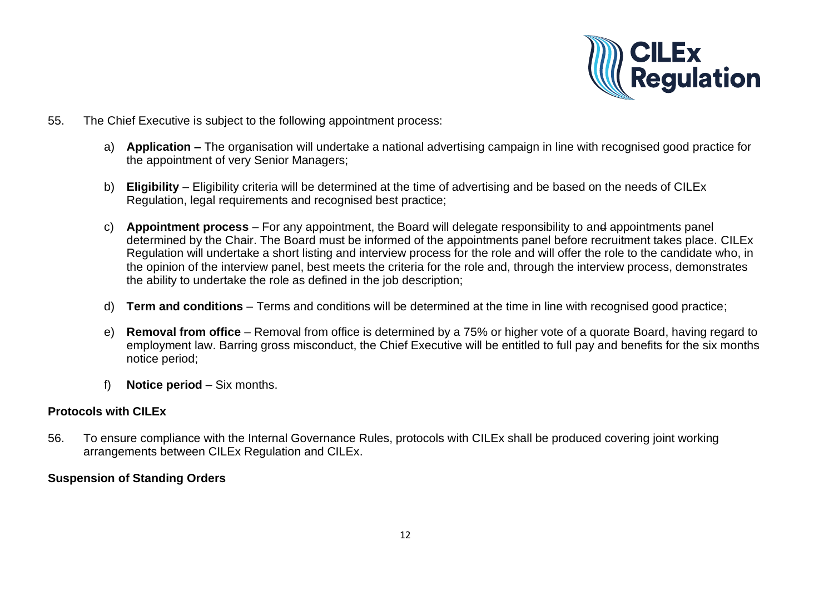

- 55. The Chief Executive is subject to the following appointment process:
	- a) **Application –** The organisation will undertake a national advertising campaign in line with recognised good practice for the appointment of very Senior Managers;
	- b) **Eligibility** Eligibility criteria will be determined at the time of advertising and be based on the needs of CILEx Regulation, legal requirements and recognised best practice;
	- c) **Appointment process** For any appointment, the Board will delegate responsibility to and appointments panel determined by the Chair. The Board must be informed of the appointments panel before recruitment takes place. CILEx Regulation will undertake a short listing and interview process for the role and will offer the role to the candidate who, in the opinion of the interview panel, best meets the criteria for the role and, through the interview process, demonstrates the ability to undertake the role as defined in the job description;
	- d) **Term and conditions** Terms and conditions will be determined at the time in line with recognised good practice;
	- e) **Removal from office** Removal from office is determined by a 75% or higher vote of a quorate Board, having regard to employment law. Barring gross misconduct, the Chief Executive will be entitled to full pay and benefits for the six months notice period;
	- f) **Notice period** Six months.

### **Protocols with CILEx**

56. To ensure compliance with the Internal Governance Rules, protocols with CILEx shall be produced covering joint working arrangements between CILEx Regulation and CILEx.

# **Suspension of Standing Orders**